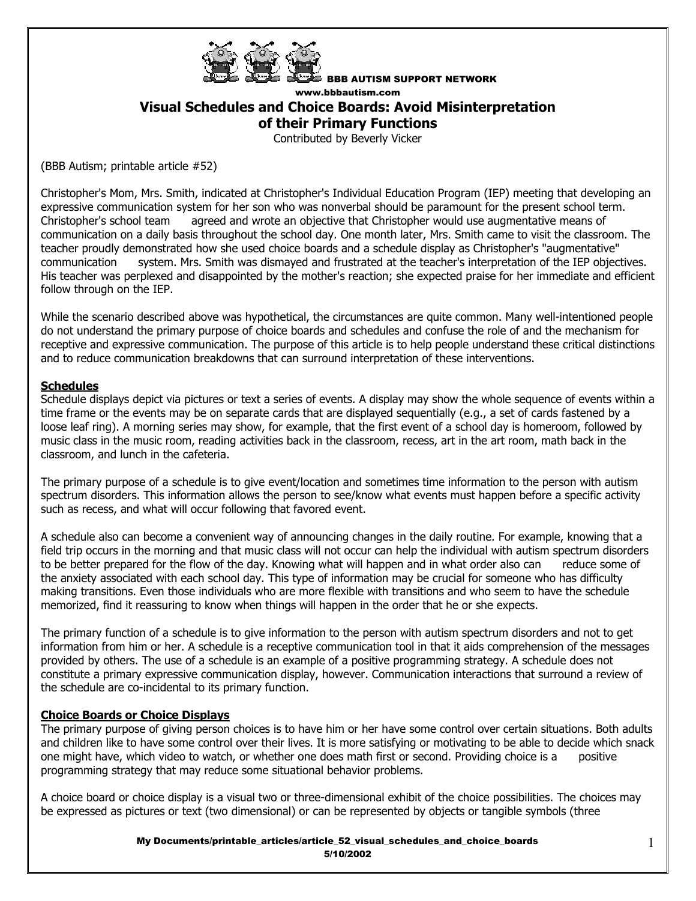

BBB AUTISM SUPPORT NETWORK

www.bbbautism.com

## **Visual Schedules and Choice Boards: Avoid Misinterpretation**

**of their Primary Functions**

Contributed by Beverly Vicker

(BBB Autism; printable article #52)

Christopher's Mom, Mrs. Smith, indicated at Christopher's Individual Education Program (IEP) meeting that developing an expressive communication system for her son who was nonverbal should be paramount for the present school term. Christopher's school team agreed and wrote an objective that Christopher would use augmentative means of communication on a daily basis throughout the school day. One month later, Mrs. Smith came to visit the classroom. The teacher proudly demonstrated how she used choice boards and a schedule display as Christopher's "augmentative" communication system. Mrs. Smith was dismayed and frustrated at the teacher's interpretation of the IEP objectives. His teacher was perplexed and disappointed by the mother's reaction; she expected praise for her immediate and efficient follow through on the IEP.

While the scenario described above was hypothetical, the circumstances are quite common. Many well-intentioned people do not understand the primary purpose of choice boards and schedules and confuse the role of and the mechanism for receptive and expressive communication. The purpose of this article is to help people understand these critical distinctions and to reduce communication breakdowns that can surround interpretation of these interventions.

## **Schedules**

Schedule displays depict via pictures or text a series of events. A display may show the whole sequence of events within a time frame or the events may be on separate cards that are displayed sequentially (e.g., a set of cards fastened by a loose leaf ring). A morning series may show, for example, that the first event of a school day is homeroom, followed by music class in the music room, reading activities back in the classroom, recess, art in the art room, math back in the classroom, and lunch in the cafeteria.

The primary purpose of a schedule is to give event/location and sometimes time information to the person with autism spectrum disorders. This information allows the person to see/know what events must happen before a specific activity such as recess, and what will occur following that favored event.

A schedule also can become a convenient way of announcing changes in the daily routine. For example, knowing that a field trip occurs in the morning and that music class will not occur can help the individual with autism spectrum disorders to be better prepared for the flow of the day. Knowing what will happen and in what order also can reduce some of the anxiety associated with each school day. This type of information may be crucial for someone who has difficulty making transitions. Even those individuals who are more flexible with transitions and who seem to have the schedule memorized, find it reassuring to know when things will happen in the order that he or she expects.

The primary function of a schedule is to give information to the person with autism spectrum disorders and not to get information from him or her. A schedule is a receptive communication tool in that it aids comprehension of the messages provided by others. The use of a schedule is an example of a positive programming strategy. A schedule does not constitute a primary expressive communication display, however. Communication interactions that surround a review of the schedule are co-incidental to its primary function.

## **Choice Boards or Choice Displays**

The primary purpose of giving person choices is to have him or her have some control over certain situations. Both adults and children like to have some control over their lives. It is more satisfying or motivating to be able to decide which snack one might have, which video to watch, or whether one does math first or second. Providing choice is a positive programming strategy that may reduce some situational behavior problems.

A choice board or choice display is a visual two or three-dimensional exhibit of the choice possibilities. The choices may be expressed as pictures or text (two dimensional) or can be represented by objects or tangible symbols (three

> My Documents/printable\_articles/article\_52\_visual\_schedules\_and\_choice\_boards 5/10/2002